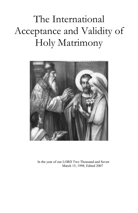The International Acceptance and Validity of Holy Matrimony



In the year of our LORD Two Thousand and Seven March 15, 1998, Edited 2007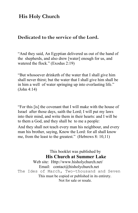#### **His Holy Church**

#### **Dedicated to the service of the Lord.**

"And they said, An Egyptian delivered us out of the hand of the shepherds, and also drew [water] enough for us, and watered the flock." (Exodus 2:19)

"But whosoever drinketh of the water that I shall give him shall never thirst; but the water that I shall give him shall be in him a well of water springing up into everlasting life." (John 4:14)

"For this [is] the covenant that I will make with the house of Israel after those days, saith the Lord; I will put my laws into their mind, and write them in their hearts: and I will be to them a God, and they shall be to me a people:

And they shall not teach every man his neighbour, and every man his brother, saying, Know the Lord: for all shall know me, from the least to the greatest." (Hebrews 8: 10,11)

This booklet was published by **His Church at Summer Lake** Web site: Http://www.hisholychurch.net/ Email: contact@hisholychurch.net The Ides of March, Two-thousand and Seven This must be copied or published in its entirety. Not for sale or resale.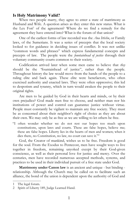#### **Is Holy Matrimony Valid?**

When two people marry, they agree to enter a state of matrimony as Husband and Wife. A question arises as they enter this new status. What is the Lex Fori<sup>[1](#page-2-0)</sup> of the agreement? Where do we find a remedy for the agreement they have entered into? What is the forum of that union?

One of the earliest forms of law recorded was the *Ana Ittishu*, or Family laws, of the Sumerians. It was a series of precepts that the local society looked to for guidance in deciding issues of conflict. It was not unlike "common words and phrases" which express fundamental concepts and precepts of law. The people were the *fountainhead of justice* through their voluntary community courts common to their society.

Codification arrived later when some men came to believe that *they* should be the *"*fountainhead of justice", rather than the people. Throughout history the law would move from the hands of the people to a ruling elite and back again. These elite were benefactors, who often exercised authority and enacted laws. They were often oppressive; this led to despotism and tyranny, which in turn would awaken the people to their original rights.

Are men to be guided by God in their hearts and minds, or by their own prejudice? God made men free to choose, and neither man nor his institutions of power and control can guarantee justice without virtue. People must constantly be vigilant to maintain any free society. They must be as concerned about their neighbor's right of choice as they are about their own. We may only be as free as we are willing to let others be free.

"I often wonder whether we do not rest our hopes too much upon constitutions, upon laws and courts. These are false hopes, believe me; these are false hopes. Liberty lies in the hearts of men and women; when it dies there, no Constitution, no law, no court can save it."[2](#page-2-1)

God, the Creator of mankind, wishes us to be free. Freedom is good for the soul. From the Exodus to Pentecost, men have sought ways to live together in freedom, remaining unyoked except by their God-given conscience, as well as their personal love for justice and mercy. Over the centuries, men have recorded numerous accepted methods, systems, and practices to be used in their individual pursuit of a free state under God.

**Matrimony under Canon law** is an ancient and unique - but binding relationship. Although the Church may be called on to facilitate such an alliance, the bond of the union is dependent upon the authority of God and

<span id="page-2-0"></span><sup>1</sup> The legal forum.

<span id="page-2-1"></span><sup>2</sup> Spirit of Liberty 189, Judge Learned Hand.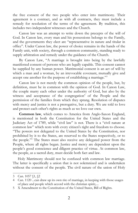the free consent of the two people who enter into matrimony. Their agreement is a contract, and as with all contracts, they must include a remedy for resolution of the terms of the agreement. By tradition, this includes two independent witnesses and the Church.

Canon law was an attempt to write down the precepts of the will of God. In Canon law, every man and his possessions belongs to the Family, and the governments they elect are "representative in nature and titular in office". Under Canon law, the power of choice remains in the hands of the Family unit, with society, through a common community, standing ready to supply arbitration and remedy under the guidance of the Church.

By Canon Law, "A marriage is brought into being by the lawfully manifested consent of persons who are legally capable. This consent cannot be supplied by any human power. Matrimonial consent is an act of will by which a man and a woman, by an irrevocable covenant, mutually give and accept one another for the purpose of establishing a marriage."[3](#page-3-0)

Canon law is not merely the common opinion of the people, but, by definition, must be in common with the opinion of God. In Canon Law, the couple marry each other under the authority of God, but also by the witness and acceptance of the congregation<sup>[4](#page-3-1)</sup> of the People and the permission of the families from which they sprang. Resolution of disputes with mercy and justice is not a prerogative, but a duty. We are told to love and protect each other's rights as much as we love our own.

**Common law**, which comes to America from Anglo-Saxon England, is mentioned in both the Constitution for the United States and the Judiciary Act of 1789, while "civil law" is not. There is a "civil nature at common law" which rests with every citizen's right and freedom to choose. "The powers not delegated to the United States by the Constitution, nor prohibited by it to the States, are reserved to the States respectively, or to the people."[5](#page-3-2) The States must also receive any delegated power from the People, where all rights began. Justice and mercy are dependent upon the people's good conscience and diligent practice of virtue. At common law, the people, as a sacred duty, must decide both fact and law.

Holy Matrimony should not be confused with common law marriage. The latter is specifically a union that is not solemnized and is undertaken without the consent of the people. The civil nature of the union of Holy

<span id="page-3-0"></span><sup>3</sup> Can. 1057 §1, §2

<span id="page-3-1"></span><sup>4</sup> Can. 1120 ...can draw up its own rite of marriage, in keeping with those usages of place and people which accord with the christian spirit;....

<span id="page-3-2"></span><sup>5</sup> X Amendment to the Constitution of the United States, Bill of Rights.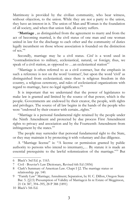Matrimony is provided by the civilian community, who bear witness, without objection, to the union. While they are not a party to the union, they have an interest in it. The union of Man and Woman is the foundation of all society, and when that union fails, all society suffers.

"**Marriage** , as distinguished from the agreement to marry and from the act of becoming married, is the civil status of one man and one woman united in law for the discharge to each other and the community of duties legally incumbent on those whose association is founded on the distinction of sex."[6](#page-4-0)

Secondly, marriage may be a civil status. *Civil* is a word used in "contradistinction to military, ecclesiastical, natural, or foreign; thus, we speak of a civil station, as opposed to ...an ecclesiastical station"<sup>[7](#page-4-1)</sup>

"Marriage is often referred to as a civil contract, but the emphasis in such a reference is not on the word 'contract', but upon the word 'civil' as distinguished from ecclesiastical; since there is religious freedom in this country, a religious ceremony, and rules of ecclesiastical organizations with regard to marriage, have no legal significance."[8](#page-4-2)

It is important that we understand that the power of legislatures to make law is granted and limited by the source of that power, which is the people. Governments are endowed by their creator, the people, with rights and privileges. The source of all law begins in the hands of the people who were "endowed by their creator with certain...rights."

"Marriage is a personal fundamental right retained by the people under the Ninth Amendment and protected by due process First Amendment rights to privacy and association and by the Fourteenth Amendment from infringement by the states."<sup>[9](#page-4-3)</sup>

The people may surrender that personal fundamental right to the State, or they may maintain it by protecting it with voluntary and due diligence.

A "Marriage license" is: "A license or permission granted by public authority to persons who intend to intermarry,… By statute it is made an essential prerequisite to the lawful solemnization of the marriage."[10](#page-4-4) But

<span id="page-4-0"></span><sup>6</sup> Black's 3rd Ed. p. 1163.

<span id="page-4-1"></span><sup>7</sup> Civil - Bouvier's Law Dictionary, Revised 6th Ed (1856)

<span id="page-4-2"></span><sup>8</sup> Clark's Summary of American Law. Chapt I §2. The marriage status or relationship. pp. 140.

<span id="page-4-3"></span><sup>9</sup> "Family Law" Marriage; Annulment; Separation, by H. C. Dillon, Oregon State Bar. 5. (§2.5) Presumption of Validity of Marriage:n In re Estate of Megginson, 21 Or 387, 394–395, 28 P 388 (1891)

<span id="page-4-4"></span><sup>10</sup> Black's 5th Ed.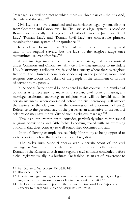"Marriage is a civil contract to which there are three parties - the husband, the wife and the state."[11](#page-5-0)

Civil law is a more centralized and authoritarian legal system, distinct from Common and Canon law. The Civil law, as a legal system, is based on Roman law, especially the Corpus Juris Civilis of Emperor Justinian. "'Civil Law,' 'Roman Law', and 'Roman Civil Law' are convertible phrases, meaning the same system of jurisprudence."<sup>[12](#page-5-1)</sup>

It is believed by many that "The civil law reduces the unwilling freed man to his original slavery; but the laws of the Angloes judge once manumitted as ever after free."[13](#page-5-2)

A civil marriage may not be the same as a marriage validly solemnized under Common and Canon law. Any civil law that attempts to invalidate Holy Matrimony, a religious rite, is void in a society where there is religious freedom. The Church is equally dependent upon the personal, moral, and religious convictions and beliefs of the people in the fulfillment of its role of servant to the people.

"One social factor should be considered in this context. In a number of countries it is necessary to marry in a secular, civil form of marriage; a marriage celebrated according to religious rites will be invalid (and, in certain instances, when contracted before the civil ceremony, will involve the parties or the clergyman in the commission of a criminal offense). Reference to the personal law of the parties as an alternative to the lex loci celebration may save the validity of such a religious marriage."[14](#page-5-3)

This is an important point to consider, particularly when their personal religious convictions and faith forbid becoming yoked with an exercising authority that does contrary to well-established doctrines and law.

In the following example, we see Holy Matrimony as being opposed to a civil contract before the Lex Fori of a civil registrar.

"The codex iuris canonici speaks with a certain scorn of the civil marriage as 'matrimonium civile ut aiunt', and sincere adherents of the Roman or the Eastern church must regard a civil contract concluded before a civil registrar, usually in a business-like fashion, as an act of irreverence to

<span id="page-5-0"></span><sup>11</sup> Van Koten v. Van Koten. 154 N.E. 146.

<span id="page-5-1"></span><sup>12</sup> Black's 3rd p 332

<span id="page-5-2"></span><sup>13</sup> Libertinum ingratum leges civiles in pristinalm servitutem redigulnt; sed leges angiae semel manumissum semper liberum judicant. Co. Litt.137.

<span id="page-5-3"></span><sup>14</sup> The Law Commission Report on the Private International Law Aspects of Capacity to Marry and Choice of Law,(LRC 19–1985).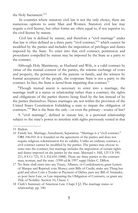the Holy Sacrament."[15](#page-6-0)

In countries where statutory civil law is not the only choice, there are numerous options to unite Man and Women. Statutory civil law may require a civil license, but other forms are often equal to, if not superior to, the civil license by statute.

Civil law is defined by statute, and therefore a "civil marriage" under that law is often defined as a three party "civil contract,"[16](#page-6-1) which cannot be modified by the parties and includes the imposition of privileges and duties imposed by the State. To enter into that civil contract, permission and procedures compelled by statute may be imposed by the State as a party to the contract.

Although Holy Matrimony, as Husband and Wife, is a valid contract by virtue of the mutual consent of the parties, the solemn exchange of vows and property, the permission of the parents or family, and the witness by formal acceptance of the people, the corporate State is not a party to the contract. In fact, the State is *barred* from impairing that contract.<sup>[17](#page-6-2)</sup>

"Though mutual assent is necessary to enter into a marriage, the marriage itself is a status or relationship rather than a contract, the rights and obligations of the parties thereto being fixed by the law instead of by the parties themselves. Hence marriages are not within the provision of the United States Constitution forbidding a state to impair the obligation of contracts."[18](#page-6-3) But is the State the only---or even the primary---source of law?

A "civil marriage", defined in statute law, is a personal relationship subject to the state's power to interfere with rights previously vested in that

<span id="page-6-2"></span>17 No State shall enter into any Treaty, Alliance, or Confederation; grant Letters of Marque and Reprisal; coin Money; emit Bills of Credit; make any Thing but gold and silver Coin a Tender in Payment of Debts; pass any Bill of Attainder, ex post facto Law, or Law impairing the Obligation of Contracts, or grant any Title of Nobility. Section 10, Clause 1:

<span id="page-6-0"></span><sup>15</sup> Ibidem

<span id="page-6-1"></span><sup>16</sup> Family law. Marriage; Annulment; Separation. "Marriage is a "civil contract." ORS 106.010. It is founded on the agreement of the parties and does not require religious solemnization for its validity. Unlike an ordinary contract, a civil contract cannot be modified by the parties. The parties may choose to enter into the contract, but marriage includes the imposition of certain rights and duties imposed on the parties by the state. Maynard v. Hill, 125 US 190, 211, 8 S Ct 723, 31 L Ed 654 (1888). There are three parties to the contract: man, woman, and the state. (1990 ed & 1997 supp) Helen C. Dillon.

<span id="page-6-3"></span><sup>18</sup> Clark's Summary of American Law. Chapt I §2. The marriage status or relationship. pp. 140.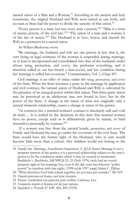natural union of a Man and a Woman.<sup>[19](#page-7-0)</sup> According to the ancient and holy testaments, the original Husband and Wife were united as one body, and no man or State had the power to divide the sanctity of that union.[20](#page-7-1)

"Every person is a man, but not every man a person."<sup>[21](#page-7-2)</sup> "Man is a term of nature; person, of the civil law."[22](#page-7-3) "The union of a man and a woman is of the law of nature."[23](#page-7-4) The Husband is to love, honor, and cherish his Wife as a protector in a sacred union.

Sir William Blackstone wrote:

"By marriage, the husband and wife are one person in law: that is, the very being or legal existence of the woman is suspended during marriage, or at least is incorporated and consolidated into that of the husband; under whose wing, protection, and cover, she performs everything; and is therefore called in our law-french a fem-covert; and her condition during her marriage is called her coverture." Commentaries, Vol. 1, Chap XV.

Civil marriage is an offer of status under the wing, protection, and cover of the State. When the State becomes a party to the marriage by application and civil contract, the natural union of Husband and Wife is subverted by the presence of an unequal power within that union. This three-party union may be perceived as an adulterous one, not bound in love, but by the power of the State. A change in the status of what was originally only a natural domestic relationship, causes a change in status of the parties.

"At common law a married woman's contract is absolutely null and void ab initio ... It is settled by the decisions in this state that married women have no power, except such as is affirmatively given by statute, to bind themselves personally by contract." [24](#page-7-5)

If a women was free from the natural bonds, protection, and cover of Family and Husband she may go under the coverture of the civil State. The State would have the former right of the Husband, who in turn would become little more than a cohort. Her children would not belong to the

<span id="page-7-0"></span><sup>19</sup> Family law. Marriage; Annulment; Separation. 2. (§2.2) Status Marriage is not a property interest of the parties; it is a personal relationship subject to the state's power to fix the conditions under which it may be created or terminated. Buchholz v. Buchholz, 248 NW2d 21, 23 (Neb 1976) (wife had no vested property right in her marriage but, even if she did, state has inherent "police power" to interfere with that right). (1990 ed & 1997 supp) Helen C. Dillon.

<span id="page-7-1"></span><sup>20</sup> "What therefore God hath joined together, let not man put asunder." Mr 10:9

<span id="page-7-2"></span><sup>21</sup> Omnis persona est homo, sed non vicissim.

<span id="page-7-3"></span><sup>22</sup> Homo vocabulum est; persona juris civilitis. Calvinus, Lex.

<span id="page-7-4"></span><sup>23</sup> Conjuctio mariti et femina est de jure naturæ.

<span id="page-7-5"></span><sup>24</sup> Saunders v. Powell, 67 S.W. 402, 403 (1933).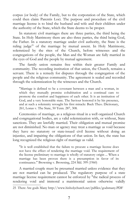corpus (or body) of the Family, but to the corporation of the State, which could then claim Parentis Loci. The purpose and procedure of the civil marriage license is to bind the husband and wife and their children under the authority of the State, which the State deems to be proper.

In statutory civil marriages there are three parties, the third being the State. In Holy Matrimony there are also three parties, the third being God, the Father. In a statutory marriage under civil authority, the State is the ruling judge<sup>[25](#page-8-0)</sup> of the marriage by mutual assent. In Holy Matrimony, solemnized by the rites of the Church, before witnesses and the congregations of the people, the Man and the Woman are fully married in the eyes of God and the people by mutual agreement.

The family union remains free within their greater Family and community. The recording institution of that union, the Church, remains a servant. There is a remedy for disputes through the congregation of the people and the religious community. The agreement is sealed and recorded through the solemnization by the witnesses and the Church.

"Marriage is defined to be a covenant between a man and a woman, in which they mutually promise cohabitation and a continual care to promote the comfort and happiness of each other. It is an institution of God, and a very honorable state. The Saviour honored it by his presence, and at such a solemnity wrought his first miracle: Buck Theo. Dictionary, 261, Lonas v. The State, 50 Tenn. 287, 308.

Ceremonies of marriage, as a religious ritual in a well organized Church and congregational bodies, are a valid solemnization with, or without, State sanctions. They are lawfully married. Their obligation and mutual promise are not diminished. No man or agency may treat a marriage as void because they have no statutory or state-issued civil license without doing an injustice, and impairing the obligations of that union. In fact, the state has long recognized the religious right of marriage as valid.

"It is well established that the failure to procure a marriage license does not have the effect of rendering the marriage void. The requirement of the license preliminary to marriage is wholly of statutory origin ... When a marriage has been proven there is a presumption in favor of its continuance." Browning v. Browning, 224 Md. 399 (1960)

A married couple must be presumed married unless evidence that they are not married can be produced. The regulatory purpose of a state marriage license requirement cannot be enforced by "the radical process of rendering void and immoral a matrimonial union otherwise validly

<span id="page-8-0"></span><sup>25</sup> There Are gods Many http://www.hisholychurch.net/pdfiles/godsmany.PDF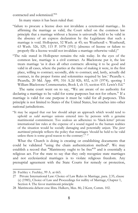contracted and solemnized."[26](#page-9-0)

In many states it has been ruled that:

- "failure to procure a license does not invalidate a ceremonial marriage... In affirming the marriage as valid, the Court relied on the common law principle that a marriage without a license is universally held to be valid in the absence of an express declaration by the Legislature that such a marriage is void. Hollopeter, 52 Wash. at 45; see Weatherall v. Weatherall, 63 Wash. 526, 529, 115 P. 1078 (1911) (absence of license or failure to properly file a license would not invalidate a marriage otherwise valid.)"
- "The rule stated in Hollopeter remains the rule today. In the eyes of the common law, marriage is a civil contract. As Blackstone put it, the law treats marriage 'as it does all other contracts: allowing it to be good and valid in all cases, where the parties at the time of making it were, in the first place, willing to contract; secondly, able to contract; and, lastly, actually did contract, in the proper forms and solemnities required by law.' Picarella v. Picarella, 20 Md. App. 499, 316 A.2d 826, 832, n.10 (1974), quoting 1 William Blackstone Commentaries, Book I, ch 15, section 433. Lewis's Ed."

The same court went on to say, "We are aware of no authority for declaring a marriage to be valid for some purposes but not for others." If a marriage is valid for one purpose it must be valid for all purposes. This principle is not limited to States of the United States, but reaches into other national jurisdictions.

"It may be argued that our law should adopt an approach which would tend to uphold as *valid marriages* unions entered into by persons with a genuine matrimonial commitment. Too zealous an adherence to 'black-letter' private international law rules at the expense of a sound regard to the human realities of the situation would be socially damaging and potentially unjust. The *favor matrimonii* principle reflects the policy that marriages 'should be held to be valid unless there is some good reason to the contrary'." <sup>[27](#page-9-1)</sup>

What the Church is doing is creating or establishing documents that could be validated "using the chain authentication method". We may establish a record that "Matrimony ought to be free"<sup>[28](#page-9-2)</sup> and is essentially a religious act. For the state to say that they only recognize state marriages and not ecclesiastical marriages is to violate religious freedom. Any prenuptial agreement with the State Courts for remedy or protection,

<span id="page-9-0"></span><sup>26</sup> Feehley v. Feehley, 99 A. at 665.

<span id="page-9-1"></span><sup>27</sup> Private International Law: Choice of Law Rules in Marriage, para. 2.35, clause (e) (1985), Choice of Law and Proceedings for nullity of Marriage, Chapter 1, Section 4. The favor matrimonii principle

<span id="page-9-2"></span><sup>28</sup> Matrimonia debent esse libra. Halkers, Max. 86; 2 Kent, Comm. 102.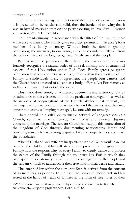"draws subjection".<sup>[29](#page-10-0)</sup>

"If a ceremonial marriage is in fact established by evidence or admission it is presumed to be regular and valid, then the burden of showing that it was an invalid marriage rests on the party asserting its invalidity." Overton v. Overton, 260 N.C. 139, 143

In Holy Matrimony, in accordance with the Rites of the Church, there *is* a license to marry. The Family gives recorded permission ("license") for a member of a family to marry. Without both the families granting permission, the marriage, in one sense, could be considered "illegal" from the point of view of the long recognized Family laws of the people.

By that recorded permission, the Church, the parties, and witnesses formerly recognize the natural order of this relationship and document all aspects of this Holy union under God. Each Family agrees or grants permission that would otherwise be illegitimate within the coverture of the Family. The individuals marry in agreement, the people bear witness, and the Church keeps a record of all; and as a body, offers a Lex Fori remedy as well as coverture in, but not of, the world.

This is not done simply by witnessed documents and testimony, but by an admission to the existence of both the particular congregation, as well as the network of congregations of the Church. Without that network, the marriage has no true coverture or remedy beyond the parties, and they may appear to become a "limping marriage", i.e. one with no remedy.

There should be a valid and verifiable network of congregations as a Church, so as to provide remedy for internal and external disputes concerning the marriage. The servant Church can supply this connection of the kingdom of God through documenting relationships, intent, and providing remedy for arbitrating disputes. Like the property lines, you mark the boundaries.

What if Husband and Wife are incapacitated or die? Who would care for or raise the children? Who will step in and protect the integrity of the Family? It is the responsibility of every Family to clearly define and protect the nature of the Family through the voluntary Lex Fori in which they participate. It is customary to call upon the congregation of the people and the servant Church to authenticate their true matrimonial desire and status.

The extent of law within the corporate State is derived from the consent of its members, as persons. In the past, the power to decide fact and law rested in the hands of heads of families in the form of free juries of their

<span id="page-10-0"></span><sup>29&</sup>quot;Protection draws to it subjection; subjection protection" Protectio trahit subjectionem, subjectio protectionem. Coke, Littl. 65.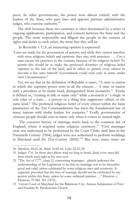peers. In other governments, the power rests almost entirely with the leaders of the State, who pass laws and appoint partisan administrative judges, who exercise authority.<sup>[30](#page-11-0)</sup>

The shift between these two extremes is often determined by a series of ongoing applications, participation, and consent between the State and the people. The more responsible and diligent the people in the exercise of rights and duties to each other, the more free they will be.

In Reynolds v. U.S, an interesting opinion is expressed:

"Laws are made for the government of actions, and while they cannot interfere with mere religious beliefs and opinions, they may with practices. . . . Can a man excuse his practices to the contrary because of his religious belief? To permit this would be to make the professed doctrines of religious belief superior to the law of the land, and in effect to permit every citizen to become a law unto himself. Government could exist only in name under such Circumstances."

Yet, we see that in the definition of Republic it states, "A state or nation in which the supreme power rests in all the citizens… A state or nation with a president as its titular head; distinguished from monarchy." Titular is defined as, "existing in title or name only" while a monarch is "a single or sole ruler of a state… a person or a thing that suppresses others of the same kind." The professed religious belief of every citizen within the basic parameters of the Ten Commandments has been the foundational law of many nations with titular leaders for centuries.<sup>[31](#page-11-1)</sup> Godly governments of virtuous people should exist in name only when it comes to natural right.

The extensive history of marriage tracks back to the common law of England, where it required some religious ceremony.<sup>[32](#page-11-2)</sup> "Civil marriages were not authorized to be performed by the Court Clerks until later in the Twentieth Century (1964); judges were not authorized to perform weddings in Maryland until the 21st Century (2002)."[33](#page-11-3) But now, many states are

<span id="page-11-0"></span><sup>30</sup> Matthew 20:25-26, Mark 10:42-43, Luke 22:25-29.

<span id="page-11-1"></span><sup>31</sup> Judges 17:6 In those days [there was] no king in Israel, [but] every man did [that which was] right in his own eyes.

<span id="page-11-2"></span><sup>32</sup> "The Act of 1777, chap.12, concerning marriages…plainly indicated the understanding of the Legislature to be that no marriage was to be thereafter good and valid, unless celebrated by some religious rites and ceremony. It expressly provided that the rites of marriage should not be celebrated by any person within this State, unless by some ordained minister…." Denison v. Denison, 35 Md. 361 (1872).

<span id="page-11-3"></span><sup>33</sup> Circuit Court of Maryland for the Baltimore City, Amicus Submission of First and Franklin St. Presbyterian Church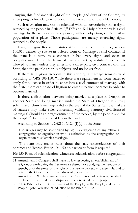usurping this fundamental right of the People (and duty of the Church) by attempting to fine clergy who perform the sacred rite of Holy Matrimony.

Such usurpation may not be tolerated without surrendering those rights retained by the people in Articles  $I^{34}$  $I^{34}$  $I^{34}$   $IX^{35}$  $IX^{35}$  $IX^{35}$  and X. Holy Matrimony is a civil marriage by the witness and acceptance, without objection, of the civilian population of a place. Those participants are merely exercising rights retained by the people.

Using Oregon Revised Statutes (ORS) only as an example, section 106.010 defines by statute its offered form of Marriage as civil contract. If the state is a party to a contract it has every right---and even an obligation---to define the terms of that contract by statute. If no one is allowed to marry unless they enter into a three party civil contract with the State, then the people are truly subjects, and no longer free.

If there is religious freedom in this country, a marriage remains valid according to ORS 106.150. While there is a requirement in some states to apply for a license in order to enter into a civil contract of marriage with the State, there can be no obligation to enter into such contract in order to become married.

Is there a distinction between being married at a place in Oregon or another State and being married under the State of Oregon? Is a truly solemnized Church marriage valid in the eyes of the State? Can the makers of statutes only make rules concerning validating statutory civil licensed marriages? Should a true "government, of the people, by the people and for the people"[36](#page-12-2) be the source of law in the land?

According to Section 1. ORS 106.120 (1)(d) of the State:

(1)Marriages may be solemnized by: (d) A clergyperson of any religious congregation or organization who is authorized by the congregation or organization to solemnize marriages.

The state only makes rules about the state solemnization of their contract and license. But in 106.150 no particular form is required.

106.150 Form of solemnization; witnesses; solemnization before congregation.

<span id="page-12-0"></span><sup>34</sup> Amendment I: Congress shall make no law respecting an establishment of religion, or prohibiting the free exercise thereof; or abridging the freedom of speech, or of the press; or the right of the people peaceably to assemble, and to petition the Government for a redress of grievances.

<span id="page-12-1"></span><sup>35</sup> Amendment IX. The enumeration in the Constitution, of certain rights, shall not be construed to deny or disparage others retained by the people.

<span id="page-12-2"></span><sup>36 &</sup>quot;This Bible is for the Government of the People, by the People, and for the People." John Wycliffe introduction to the Bible in 1382.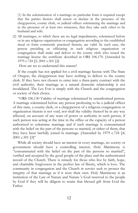(1) In the solemnization of a marriage no particular form is required except that the parties thereto shall assent or declare in the presence of the clergyperson, county clerk, or judicial officer solemnizing the marriage and in the presence of at least two witnesses, that they take each other to be husband and wife.

(2) All marriages, to which there are no legal impediments, solemnized before or in any religious organization or congregation according to the established ritual or form commonly practiced therein, are valid. In such case, the person presiding or officiating in such religious organization or congregation shall make and deliver to the county clerk who issued the marriage license the certificate described in ORS 106.170. [Amended by 1979 c.724 §5; 2001 c.501 §2]

How are we to understand this statute?

If the couple has not applied for a civil marriage license with The State of Oregon, the clergyperson may have nothing to deliver to the county clerk. If they have not chosen to enter into a three-party contract with the civil authority, their marriage as a natural domestic relationship is not invalidated. The Lex Fori is simply with the Church and the congregation or society of their choice.

"ORS 106.130 Validity of marriage solemnized by unauthorized person. A marriage solemnized before any person professing to be a judicial officer of this state, a county clerk, or a clergyperson of a religious congregation or organization therein is not void, nor shall the validity thereof be in any way affected, on account of any want of power or authority in such person, if such person was acting at the time in the office or the capacity of a person authorized to solemnize marriage and if such marriage is consummated with the belief on the part of the persons so married, or either of them, that they have been lawfully joined in marriage. [Amended by 1979 c.724 §4; 2001 c.501 §5]"

While all society should have an interest in every marriage, no society or government should have a controlling interest. Holy Matrimony is "consummated with the belief on the part of the persons so married", verified and accepted by the good people of the place and the authenticated record of the Church. There is remedy for those who live by faith, hope, and charitable forgiveness in the perfect law of liberty, which is love. The community in congregation and the Church in service seek to protect the integrity of that marriage as if it were their own. Holy Matrimony is an institution of the Law of Nature and Nature 's God reserved to the people by God if they will be diligent to retain that blessed gift from God the Father.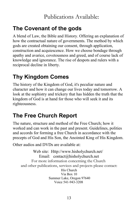### **The Covenant of the gods**

A blend of Law, the Bible and History. Offering an explanation of how the contractual nature of governments. The method by which gods are created obtaining our consent, through application, construction and acquiescence. How we choose bondage through apathy and avarice, covetousness and greed, and of course lack of knowledge and ignorance. The rise of despots and rulers with a reciprocal decline in liberty.

# **Thy Kingdom Comes**

The history of the Kingdom of God, it's peculiar nature and character and how it can change our lives today and tomorrow. A look at the sophistry and trickery that has hidden the truth that the kingdom of God is at hand for those who will seek it and its righteousness.

## **The Free Church Report**

The nature, structure and method of the Free Church; how it worked and can work in the past and present. Guidelines, polities and accords for forming a free Church in accordance with the precepts of God and His Son, the Anointed King of His Kingdom.

Other audios and DVDs are available at:

Web site: Http://www.hisholychurch.net/ Email: contact@hisholychurch.net For more information concerning the Church and other publications, services and projects please contact: His Church Via Box 10 Summer Lake, Oregon 97640 Voice 541-943-3208